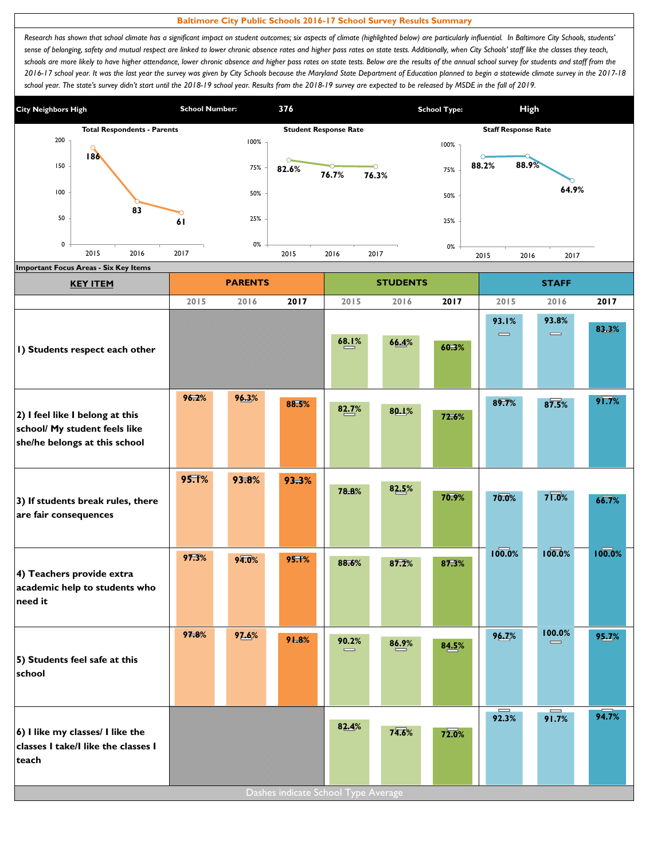## **Baltimore City Public Schools 2016-17 School Survey Results Summary**

Research has shown that school climate has a significant impact on student outcomes; six aspects of climate (highlighted below) are particularly influential. In Baltimore City Schools, students' sense of belonging, safety and mutual respect are linked to lower chronic absence rates and higher pass rates on state tests. Additionally, when City Schools' staff like the classes they teach, schools are more likely to have higher attendance, lower chronic absence and higher pass rates on state tests. Below are the results of the annual school survey for students and staff from the *2016-17 school year. It was the last year the survey was given by City Schools because the Maryland State Department of Education planned to begin a statewide climate survey in the 2017-18*  school year. The state's survey didn't start until the 2018-19 school year. Results from the 2018-19 survey are expected to be released by MSDE in the fall of 2019.



| <b>KEY ITEM</b>                                                                                   |       | <b>PARENTS</b> |                                     |                   | <b>STUDENTS</b> |       | <b>STAFF</b>                          |                     |               |  |
|---------------------------------------------------------------------------------------------------|-------|----------------|-------------------------------------|-------------------|-----------------|-------|---------------------------------------|---------------------|---------------|--|
|                                                                                                   | 2015  | 2016           | 2017                                | 2015              | 2016            | 2017  | 2015                                  | 2016                | 2017          |  |
| I) Students respect each other                                                                    |       |                |                                     | 68.1%             | 66.4%           | 60.3% | 93.1%<br>$\qquad \qquad \blacksquare$ | 93.8%<br>$\equiv$   | 83.3%         |  |
| 2) I feel like I belong at this<br>school/ My student feels like<br>she/he belongs at this school | 96.2% | 96.3%          | 88.5%                               | 82.7%             | 80.1%           | 72.6% | 89.7%                                 | 87.5%               | $9\sqrt{7}\%$ |  |
| 3) If students break rules, there<br>are fair consequences                                        | 95.T% | 93.8%          | 93.3%                               | 78.8%             | 82.5%           | 70.9% | 70.0%                                 | $7\overline{1.0}$ % | 66.7%         |  |
| 4) Teachers provide extra<br>academic help to students who<br>need it                             | 97.3% | 94.0%          | <b>95.1%</b>                        | 88.6%             | 87.2%           | 87.3% | 100.0%                                | 100.0%              | 100.0%        |  |
| 5) Students feel safe at this<br>school                                                           | 97.8% | 97.6%          | 91.8%                               | 90.2%<br>$\equiv$ | 86.9%           | 84.5% | 96.7%                                 | 100.0%<br>$\equiv$  | 95.7%         |  |
| 6) I like my classes/ I like the<br>classes I take/I like the classes I<br>teach                  |       |                | Dashes indicate School Type Average | 82.4%             | 74.6%           | 72.0% | 92.3%                                 | $\equiv$<br>91.7%   | 94.7%         |  |